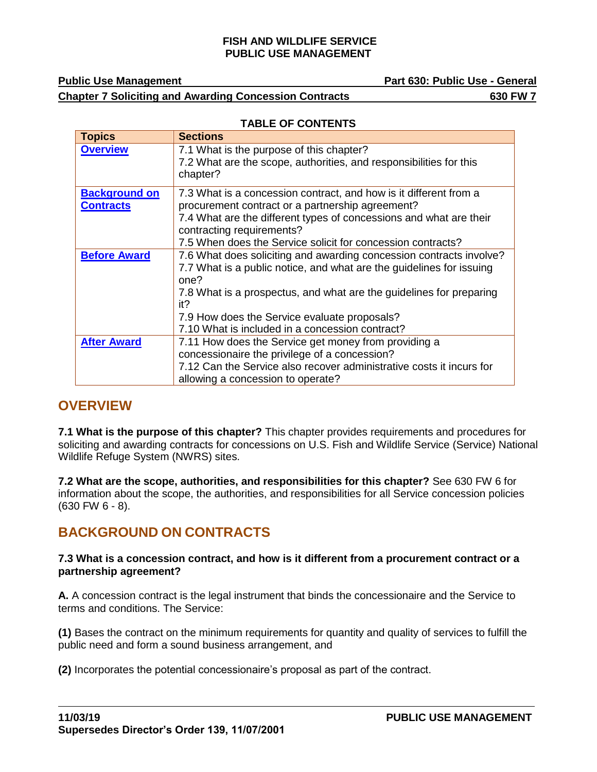**Public Use Management Community Community Community Part 630: Public Use - General** 

**Chapter 7 Soliciting and Awarding Concession Contracts 630 FW 7**

### **TABLE OF CONTENTS**

| <b>Topics</b>                            | <b>Sections</b>                                                                                                                                                                                                                                                                                                                      |
|------------------------------------------|--------------------------------------------------------------------------------------------------------------------------------------------------------------------------------------------------------------------------------------------------------------------------------------------------------------------------------------|
| <b>Overview</b>                          | 7.1 What is the purpose of this chapter?<br>7.2 What are the scope, authorities, and responsibilities for this<br>chapter?                                                                                                                                                                                                           |
| <b>Background on</b><br><b>Contracts</b> | 7.3 What is a concession contract, and how is it different from a<br>procurement contract or a partnership agreement?<br>7.4 What are the different types of concessions and what are their<br>contracting requirements?<br>7.5 When does the Service solicit for concession contracts?                                              |
| <b>Before Award</b>                      | 7.6 What does soliciting and awarding concession contracts involve?<br>7.7 What is a public notice, and what are the guidelines for issuing<br>one?<br>7.8 What is a prospectus, and what are the guidelines for preparing<br>it?<br>7.9 How does the Service evaluate proposals?<br>7.10 What is included in a concession contract? |
| <b>After Award</b>                       | 7.11 How does the Service get money from providing a<br>concessionaire the privilege of a concession?<br>7.12 Can the Service also recover administrative costs it incurs for<br>allowing a concession to operate?                                                                                                                   |

# <span id="page-0-0"></span>**OVERVIEW**

**7.1 What is the purpose of this chapter?** This chapter provides requirements and procedures for soliciting and awarding contracts for concessions on U.S. Fish and Wildlife Service (Service) National Wildlife Refuge System (NWRS) sites.

**7.2 What are the scope, authorities, and responsibilities for this chapter?** See 630 FW 6 for information about the scope, the authorities, and responsibilities for all Service concession policies (630 FW 6 - 8).

# **BACKGROUND ON CONTRACTS**

# **7.3 What is a concession contract, and how is it different from a procurement contract or a partnership agreement?**

**A.** A concession contract is the legal instrument that binds the concessionaire and the Service to terms and conditions. The Service:

**(1)** Bases the contract on the minimum requirements for quantity and quality of services to fulfill the public need and form a sound business arrangement, and

**(2)** Incorporates the potential concessionaire's proposal as part of the contract.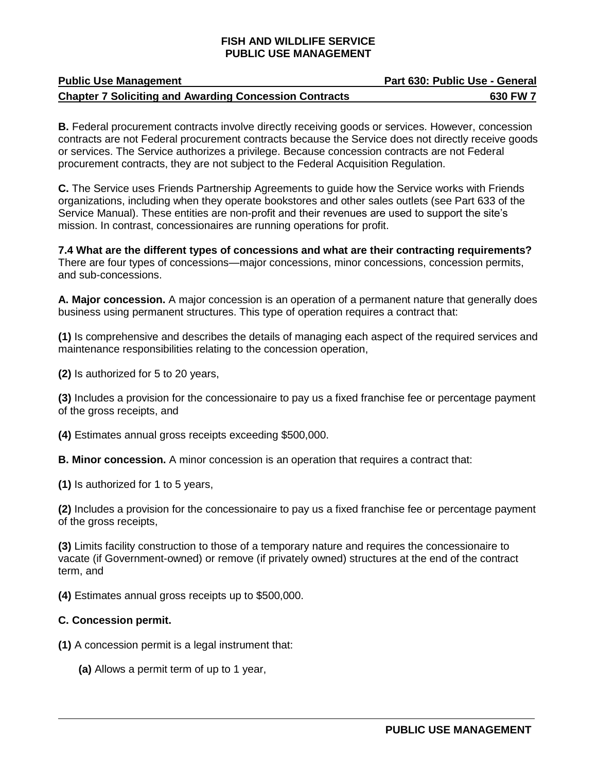| <b>Public Use Management</b>                                  | Part 630: Public Use - General |
|---------------------------------------------------------------|--------------------------------|
| <b>Chapter 7 Soliciting and Awarding Concession Contracts</b> | 630 FW 7                       |

**B.** Federal procurement contracts involve directly receiving goods or services. However, concession contracts are not Federal procurement contracts because the Service does not directly receive goods or services. The Service authorizes a privilege. Because concession contracts are not Federal procurement contracts, they are not subject to the Federal Acquisition Regulation.

**C.** The Service uses Friends Partnership Agreements to guide how the Service works with Friends organizations, including when they operate bookstores and other sales outlets (see Part 633 of the Service Manual). These entities are non-profit and their revenues are used to support the site's mission. In contrast, concessionaires are running operations for profit.

**7.4 What are the different types of concessions and what are their contracting requirements?** There are four types of concessions—major concessions, minor concessions, concession permits, and sub-concessions.

**A. Major concession.** A major concession is an operation of a permanent nature that generally does business using permanent structures. This type of operation requires a contract that:

**(1)** Is comprehensive and describes the details of managing each aspect of the required services and maintenance responsibilities relating to the concession operation,

**(2)** Is authorized for 5 to 20 years,

**(3)** Includes a provision for the concessionaire to pay us a fixed franchise fee or percentage payment of the gross receipts, and

**(4)** Estimates annual gross receipts exceeding \$500,000.

**B. Minor concession.** A minor concession is an operation that requires a contract that:

**(1)** Is authorized for 1 to 5 years,

**(2)** Includes a provision for the concessionaire to pay us a fixed franchise fee or percentage payment of the gross receipts,

**(3)** Limits facility construction to those of a temporary nature and requires the concessionaire to vacate (if Government-owned) or remove (if privately owned) structures at the end of the contract term, and

**(4)** Estimates annual gross receipts up to \$500,000.

#### <span id="page-1-0"></span>**C. Concession permit.**

**(1)** A concession permit is a legal instrument that:

**(a)** Allows a permit term of up to 1 year,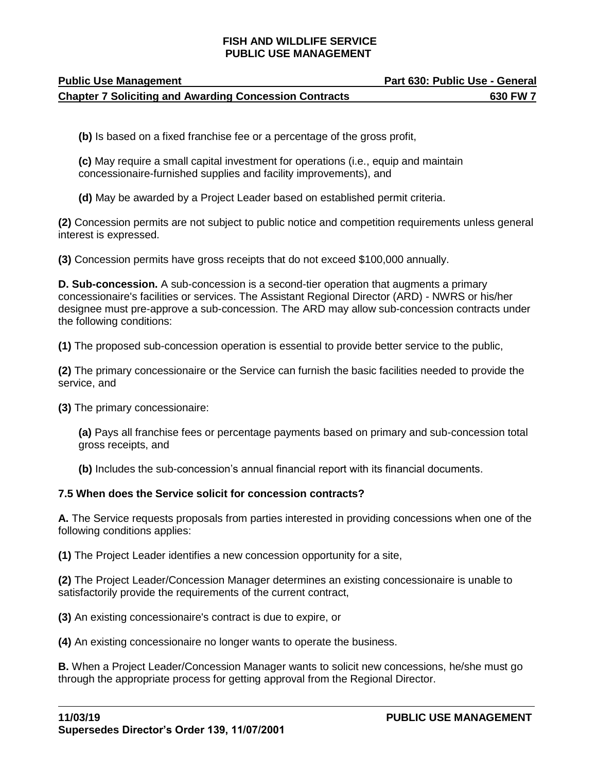| <b>Public Use Management</b>                                  | Part 630: Public Use - General |
|---------------------------------------------------------------|--------------------------------|
| <b>Chapter 7 Soliciting and Awarding Concession Contracts</b> | 630 FW 7                       |

**(b)** Is based on a fixed franchise fee or a percentage of the gross profit,

**(c)** May require a small capital investment for operations (i.e., equip and maintain concessionaire-furnished supplies and facility improvements), and

**(d)** May be awarded by a Project Leader based on established permit criteria.

**(2)** Concession permits are not subject to public notice and competition requirements unless general interest is expressed.

**(3)** Concession permits have gross receipts that do not exceed \$100,000 annually.

**D. Sub-concession.** A sub-concession is a second-tier operation that augments a primary concessionaire's facilities or services. The Assistant Regional Director (ARD) - NWRS or his/her designee must pre-approve a sub-concession. The ARD may allow sub-concession contracts under the following conditions:

**(1)** The proposed sub-concession operation is essential to provide better service to the public,

**(2)** The primary concessionaire or the Service can furnish the basic facilities needed to provide the service, and

**(3)** The primary concessionaire:

**(a)** Pays all franchise fees or percentage payments based on primary and sub-concession total gross receipts, and

**(b)** Includes the sub-concession's annual financial report with its financial documents.

# **7.5 When does the Service solicit for concession contracts?**

**A.** The Service requests proposals from parties interested in providing concessions when one of the following conditions applies:

**(1)** The Project Leader identifies a new concession opportunity for a site,

**(2)** The Project Leader/Concession Manager determines an existing concessionaire is unable to satisfactorily provide the requirements of the current contract,

**(3)** An existing concessionaire's contract is due to expire, or

**(4)** An existing concessionaire no longer wants to operate the business.

<span id="page-2-0"></span>**B.** When a Project Leader/Concession Manager wants to solicit new concessions, he/she must go through the appropriate process for getting approval from the Regional Director.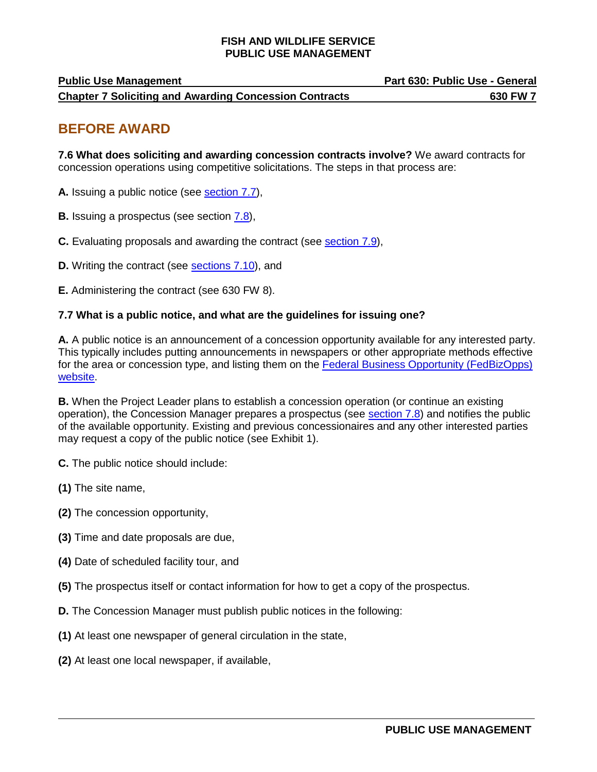| <b>Public Use Management</b>                                  | Part 630: Public Use - General |
|---------------------------------------------------------------|--------------------------------|
| <b>Chapter 7 Soliciting and Awarding Concession Contracts</b> | 630 FW 7                       |

# **BEFORE AWARD**

**7.6 What does soliciting and awarding concession contracts involve?** We award contracts for concession operations using competitive solicitations. The steps in that process are:

A. Issuing a public notice (see **section 7.7**),

**B.** Issuing a prospectus (see section [7.8\)](#page-4-0),

**C.** Evaluating proposals and awarding the contract (see [section 7.9](#page-6-0)),

**D.** Writing the contract (see [sections 7.10](#page-7-0)), and

**E.** Administering the contract (see 630 FW 8).

#### <span id="page-3-0"></span>**7.7 What is a public notice, and what are the guidelines for issuing one?**

**A.** A public notice is an announcement of a concession opportunity available for any interested party. This typically includes putting announcements in newspapers or other appropriate methods effective for the area or concession type, and listing them on the [Federal Business Opportunity \(FedBizOpps\)](http://www.fbo.gov/)  [website.](http://www.fbo.gov/)

**B.** When the Project Leader plans to establish a concession operation (or continue an existing operation), the Concession Manager prepares a prospectus (see [section 7.8\)](#page-4-0) and notifies the public of the available opportunity. Existing and previous concessionaires and any other interested parties may request a copy of the public notice (see Exhibit 1).

**C.** The public notice should include:

**(1)** The site name,

**(2)** The concession opportunity,

- **(3)** Time and date proposals are due,
- **(4)** Date of scheduled facility tour, and
- **(5)** The prospectus itself or contact information for how to get a copy of the prospectus.
- **D.** The Concession Manager must publish public notices in the following:
- **(1)** At least one newspaper of general circulation in the state,
- **(2)** At least one local newspaper, if available,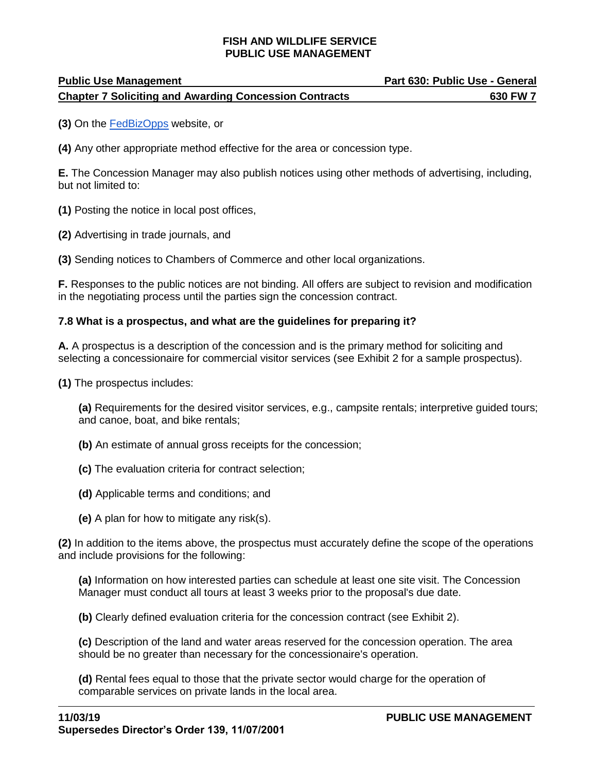| <b>Public Use Management</b>                                  | Part 630: Public Use - General |
|---------------------------------------------------------------|--------------------------------|
| <b>Chapter 7 Soliciting and Awarding Concession Contracts</b> | 630 FW 7                       |

**(3)** On the [FedBizOpps](https://www.fbo.gov/) website, or

**(4)** Any other appropriate method effective for the area or concession type.

**E.** The Concession Manager may also publish notices using other methods of advertising, including, but not limited to:

**(1)** Posting the notice in local post offices,

**(2)** Advertising in trade journals, and

**(3)** Sending notices to Chambers of Commerce and other local organizations.

**F.** Responses to the public notices are not binding. All offers are subject to revision and modification in the negotiating process until the parties sign the concession contract.

# <span id="page-4-0"></span>**7.8 What is a prospectus, and what are the guidelines for preparing it?**

**A.** A prospectus is a description of the concession and is the primary method for soliciting and selecting a concessionaire for commercial visitor services (see Exhibit 2 for a sample prospectus).

**(1)** The prospectus includes:

**(a)** Requirements for the desired visitor services, e.g., campsite rentals; interpretive guided tours; and canoe, boat, and bike rentals;

- **(b)** An estimate of annual gross receipts for the concession;
- **(c)** The evaluation criteria for contract selection;
- **(d)** Applicable terms and conditions; and
- **(e)** A plan for how to mitigate any risk(s).

**(2)** In addition to the items above, the prospectus must accurately define the scope of the operations and include provisions for the following:

**(a)** Information on how interested parties can schedule at least one site visit. The Concession Manager must conduct all tours at least 3 weeks prior to the proposal's due date.

**(b)** Clearly defined evaluation criteria for the concession contract (see Exhibit 2).

**(c)** Description of the land and water areas reserved for the concession operation. The area should be no greater than necessary for the concessionaire's operation.

**(d)** Rental fees equal to those that the private sector would charge for the operation of comparable services on private lands in the local area.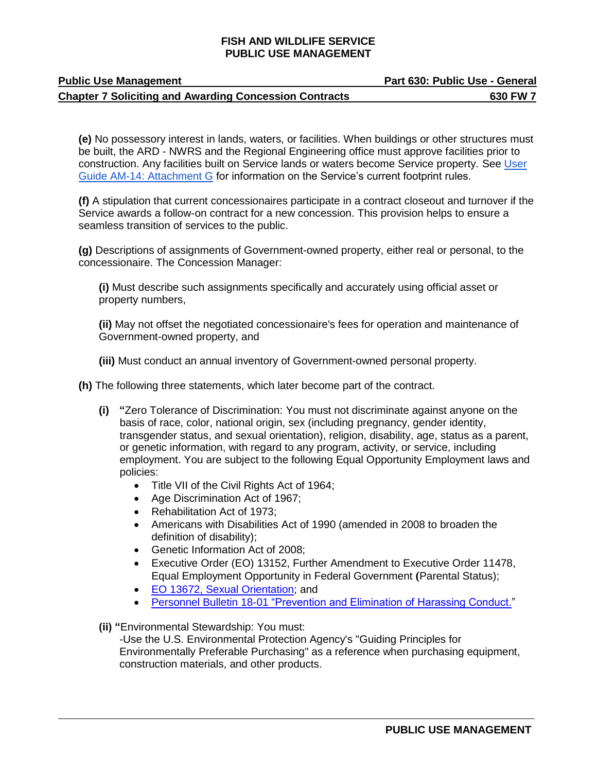| <b>Public Use Management</b>                                  | Part 630: Public Use - General |
|---------------------------------------------------------------|--------------------------------|
| <b>Chapter 7 Soliciting and Awarding Concession Contracts</b> | 630 FW 7                       |

**(e)** No possessory interest in lands, waters, or facilities. When buildings or other structures must be built, the ARD - NWRS and the Regional Engineering office must approve facilities prior to construction. Any facilities built on Service lands or waters become Service property. See [User](https://www.fws.gov/refuges/facilities/pdfs/AM-14_FWS_ATTACHMENT_G_REQUIREMENTS_%2001-24-2018.pdf)  [Guide AM-14: Attachment G](https://www.fws.gov/refuges/facilities/pdfs/AM-14_FWS_ATTACHMENT_G_REQUIREMENTS_%2001-24-2018.pdf) for information on the Service's current footprint rules.

**(f)** A stipulation that current concessionaires participate in a contract closeout and turnover if the Service awards a follow-on contract for a new concession. This provision helps to ensure a seamless transition of services to the public.

**(g)** Descriptions of assignments of Government-owned property, either real or personal, to the concessionaire. The Concession Manager:

**(i)** Must describe such assignments specifically and accurately using official asset or property numbers,

**(ii)** May not offset the negotiated concessionaire's fees for operation and maintenance of Government-owned property, and

**(iii)** Must conduct an annual inventory of Government-owned personal property.

**(h)** The following three statements, which later become part of the contract.

- **(i) "**Zero Tolerance of Discrimination: You must not discriminate against anyone on the basis of race, color, national origin, sex (including pregnancy, gender identity, transgender status, and sexual orientation), religion, disability, age, status as a parent, or genetic information, with regard to any program, activity, or service, including employment. You are subject to the following Equal Opportunity Employment laws and policies:
	- Title VII of the Civil Rights Act of 1964;
	- Age Discrimination Act of 1967;
	- Rehabilitation Act of 1973;
	- Americans with Disabilities Act of 1990 (amended in 2008 to broaden the definition of disability);
	- Genetic Information Act of 2008;
	- Executive Order (EO) 13152, Further Amendment to Executive Order 11478, Equal Employment Opportunity in Federal Government **(**Parental Status);
	- [EO 13672, Sexual](https://www1.eeoc.gov/eeoc/history/50th/thelaw/11478_11246_amend.cfm?renderforprint=) Orientation; and
	- [Personnel Bulletin 18-01 "Prevention and Elimination of Harassing Conduct.](https://www.doi.gov/employees/anti-harassment/personnel-bulletin-18-01)"

**(ii) "**Environmental Stewardship: You must:

-Use the U.S. Environmental Protection Agency's "Guiding Principles for Environmentally Preferable Purchasing" as a reference when purchasing equipment, construction materials, and other products.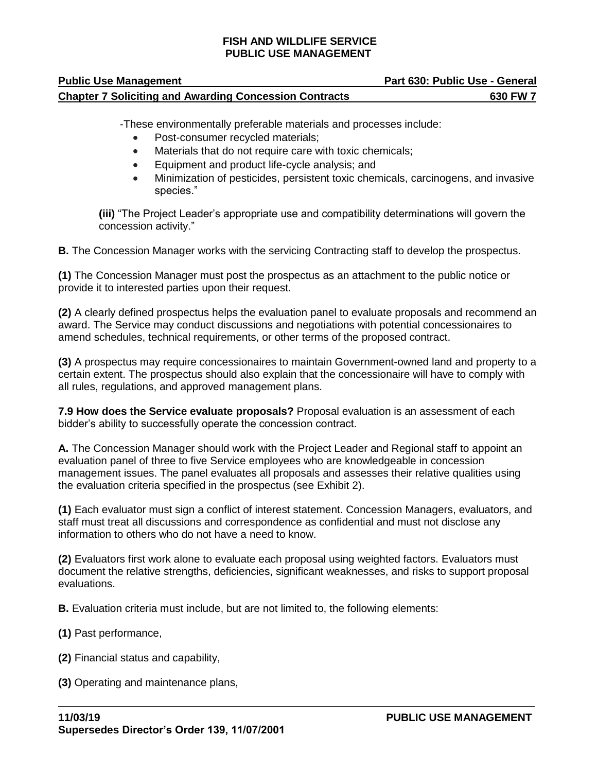| <b>Public Use Management</b>                                  | Part 630: Public Use - General |
|---------------------------------------------------------------|--------------------------------|
| <b>Chapter 7 Soliciting and Awarding Concession Contracts</b> | 630 FW 7                       |

-These environmentally preferable materials and processes include:

- Post-consumer recycled materials;
- Materials that do not require care with toxic chemicals:
- Equipment and product life-cycle analysis; and
- Minimization of pesticides, persistent toxic chemicals, carcinogens, and invasive species."

**(iii)** "The Project Leader's appropriate use and compatibility determinations will govern the concession activity."

**B.** The Concession Manager works with the servicing Contracting staff to develop the prospectus.

**(1)** The Concession Manager must post the prospectus as an attachment to the public notice or provide it to interested parties upon their request.

**(2)** A clearly defined prospectus helps the evaluation panel to evaluate proposals and recommend an award. The Service may conduct discussions and negotiations with potential concessionaires to amend schedules, technical requirements, or other terms of the proposed contract.

**(3)** A prospectus may require concessionaires to maintain Government-owned land and property to a certain extent. The prospectus should also explain that the concessionaire will have to comply with all rules, regulations, and approved management plans.

<span id="page-6-0"></span>**7.9 How does the Service evaluate proposals?** Proposal evaluation is an assessment of each bidder's ability to successfully operate the concession contract.

**A.** The Concession Manager should work with the Project Leader and Regional staff to appoint an evaluation panel of three to five Service employees who are knowledgeable in concession management issues. The panel evaluates all proposals and assesses their relative qualities using the evaluation criteria specified in the prospectus (see Exhibit 2).

**(1)** Each evaluator must sign a conflict of interest statement. Concession Managers, evaluators, and staff must treat all discussions and correspondence as confidential and must not disclose any information to others who do not have a need to know.

**(2)** Evaluators first work alone to evaluate each proposal using weighted factors. Evaluators must document the relative strengths, deficiencies, significant weaknesses, and risks to support proposal evaluations.

**B.** Evaluation criteria must include, but are not limited to, the following elements:

**(1)** Past performance,

- **(2)** Financial status and capability,
- **(3)** Operating and maintenance plans,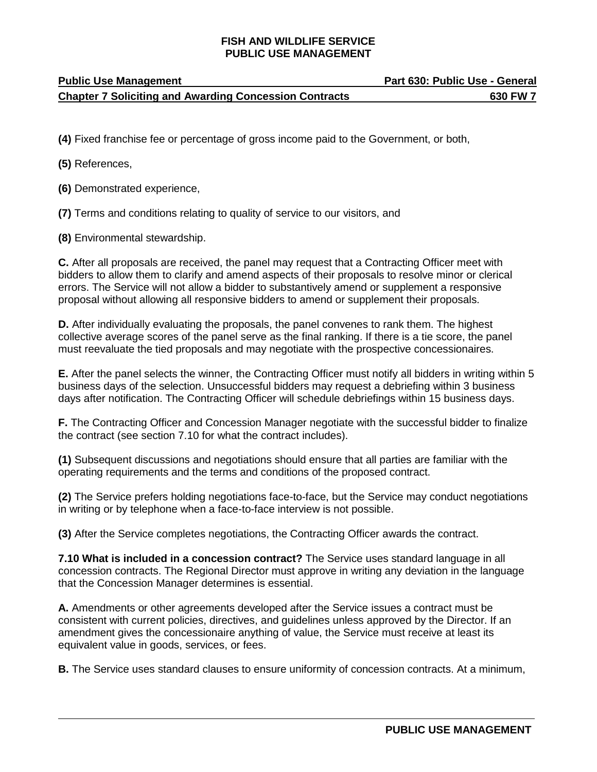| <b>Public Use Management</b>                                  | Part 630: Public Use - General |
|---------------------------------------------------------------|--------------------------------|
| <b>Chapter 7 Soliciting and Awarding Concession Contracts</b> | 630 FW 7                       |

**(4)** Fixed franchise fee or percentage of gross income paid to the Government, or both,

**(5)** References,

**(6)** Demonstrated experience,

**(7)** Terms and conditions relating to quality of service to our visitors, and

**(8)** Environmental stewardship.

**C.** After all proposals are received, the panel may request that a Contracting Officer meet with bidders to allow them to clarify and amend aspects of their proposals to resolve minor or clerical errors. The Service will not allow a bidder to substantively amend or supplement a responsive proposal without allowing all responsive bidders to amend or supplement their proposals.

**D.** After individually evaluating the proposals, the panel convenes to rank them. The highest collective average scores of the panel serve as the final ranking. If there is a tie score, the panel must reevaluate the tied proposals and may negotiate with the prospective concessionaires.

**E.** After the panel selects the winner, the Contracting Officer must notify all bidders in writing within 5 business days of the selection. Unsuccessful bidders may request a debriefing within 3 business days after notification. The Contracting Officer will schedule debriefings within 15 business days.

**F.** The Contracting Officer and Concession Manager negotiate with the successful bidder to finalize the contract (see section 7.10 for what the contract includes).

**(1)** Subsequent discussions and negotiations should ensure that all parties are familiar with the operating requirements and the terms and conditions of the proposed contract.

**(2)** The Service prefers holding negotiations face-to-face, but the Service may conduct negotiations in writing or by telephone when a face-to-face interview is not possible.

**(3)** After the Service completes negotiations, the Contracting Officer awards the contract.

<span id="page-7-0"></span>**7.10 What is included in a concession contract?** The Service uses standard language in all concession contracts. The Regional Director must approve in writing any deviation in the language that the Concession Manager determines is essential.

**A.** Amendments or other agreements developed after the Service issues a contract must be consistent with current policies, directives, and guidelines unless approved by the Director. If an amendment gives the concessionaire anything of value, the Service must receive at least its equivalent value in goods, services, or fees.

**B.** The Service uses standard clauses to ensure uniformity of concession contracts. At a minimum,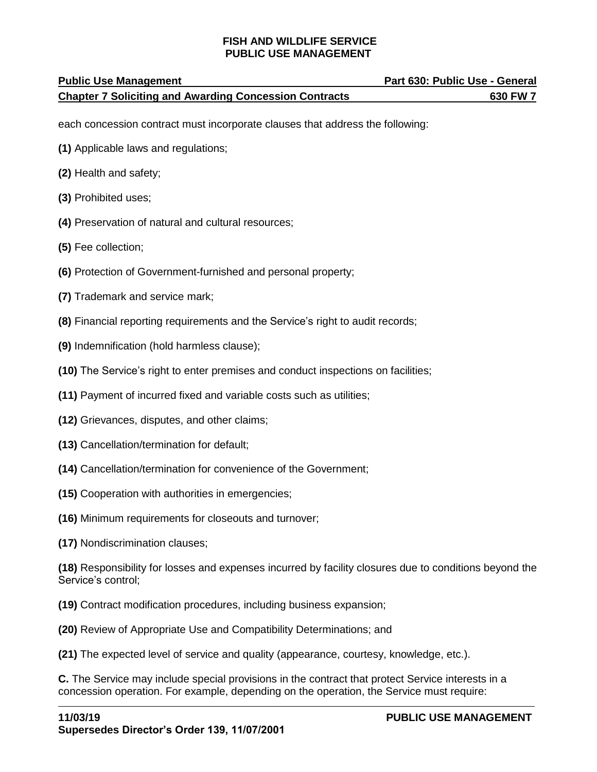| <b>Public Use Management</b>                                  | Part 630: Public Use - General |
|---------------------------------------------------------------|--------------------------------|
| <b>Chapter 7 Soliciting and Awarding Concession Contracts</b> | 630 FW 7                       |

each concession contract must incorporate clauses that address the following:

- **(1)** Applicable laws and regulations;
- **(2)** Health and safety;
- **(3)** Prohibited uses;
- **(4)** Preservation of natural and cultural resources;
- **(5)** Fee collection;
- **(6)** Protection of Government-furnished and personal property;
- **(7)** Trademark and service mark;
- **(8)** Financial reporting requirements and the Service's right to audit records;
- **(9)** Indemnification (hold harmless clause);
- **(10)** The Service's right to enter premises and conduct inspections on facilities;
- **(11)** Payment of incurred fixed and variable costs such as utilities;
- **(12)** Grievances, disputes, and other claims;
- **(13)** Cancellation/termination for default;
- **(14)** Cancellation/termination for convenience of the Government;
- **(15)** Cooperation with authorities in emergencies;
- **(16)** Minimum requirements for closeouts and turnover;
- **(17)** Nondiscrimination clauses;

**(18)** Responsibility for losses and expenses incurred by facility closures due to conditions beyond the Service's control;

- **(19)** Contract modification procedures, including business expansion;
- **(20)** Review of Appropriate Use and Compatibility Determinations; and
- **(21)** The expected level of service and quality (appearance, courtesy, knowledge, etc.).

**C.** The Service may include special provisions in the contract that protect Service interests in a concession operation. For example, depending on the operation, the Service must require: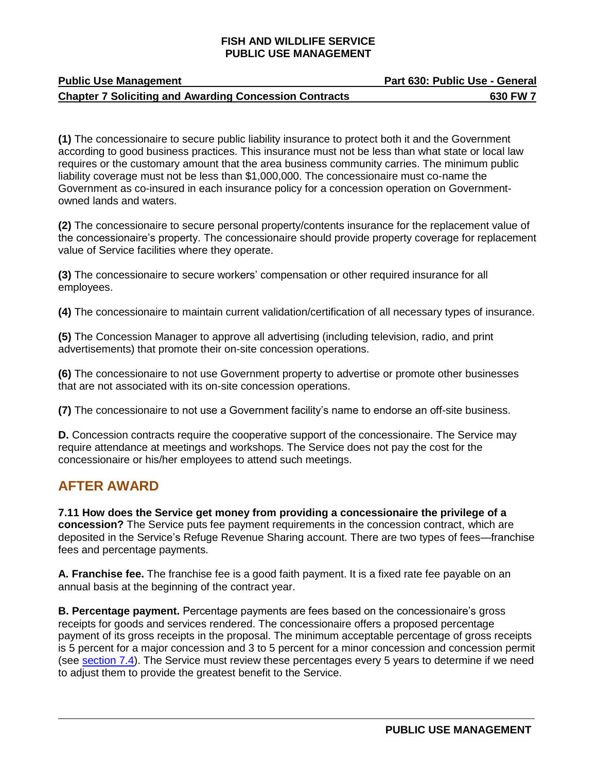| <b>Public Use Management</b>                                  | Part 630: Public Use - General |
|---------------------------------------------------------------|--------------------------------|
| <b>Chapter 7 Soliciting and Awarding Concession Contracts</b> | 630 FW 7                       |

**(1)** The concessionaire to secure public liability insurance to protect both it and the Government according to good business practices. This insurance must not be less than what state or local law requires or the customary amount that the area business community carries. The minimum public liability coverage must not be less than \$1,000,000. The concessionaire must co-name the Government as co-insured in each insurance policy for a concession operation on Governmentowned lands and waters.

**(2)** The concessionaire to secure personal property/contents insurance for the replacement value of the concessionaire's property. The concessionaire should provide property coverage for replacement value of Service facilities where they operate.

**(3)** The concessionaire to secure workers' compensation or other required insurance for all employees.

**(4)** The concessionaire to maintain current validation/certification of all necessary types of insurance.

**(5)** The Concession Manager to approve all advertising (including television, radio, and print advertisements) that promote their on-site concession operations.

**(6)** The concessionaire to not use Government property to advertise or promote other businesses that are not associated with its on-site concession operations.

**(7)** The concessionaire to not use a Government facility's name to endorse an off-site business.

**D.** Concession contracts require the cooperative support of the concessionaire. The Service may require attendance at meetings and workshops. The Service does not pay the cost for the concessionaire or his/her employees to attend such meetings.

# <span id="page-9-0"></span>**AFTER AWARD**

**7.11 How does the Service get money from providing a concessionaire the privilege of a concession?** The Service puts fee payment requirements in the concession contract, which are deposited in the Service's Refuge Revenue Sharing account. There are two types of fees—franchise fees and percentage payments.

**A. Franchise fee.** The franchise fee is a good faith payment. It is a fixed rate fee payable on an annual basis at the beginning of the contract year.

**B. Percentage payment.** Percentage payments are fees based on the concessionaire's gross receipts for goods and services rendered. The concessionaire offers a proposed percentage payment of its gross receipts in the proposal. The minimum acceptable percentage of gross receipts is 5 percent for a major concession and 3 to 5 percent for a minor concession and concession permit (see [section 7.4\)](#page-1-0). The Service must review these percentages every 5 years to determine if we need to adjust them to provide the greatest benefit to the Service.